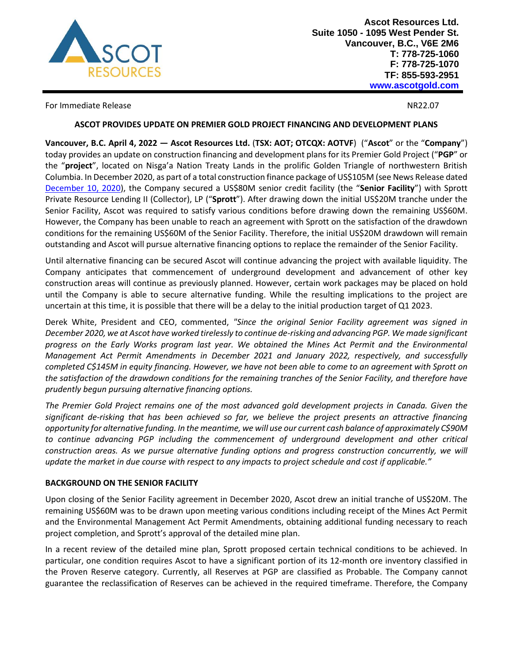

For Immediate Release NR22.07

## **ASCOT PROVIDES UPDATE ON PREMIER GOLD PROJECT FINANCING AND DEVELOPMENT PLANS**

**Vancouver, B.C. April 4, 2022 — Ascot Resources Ltd.** (**TSX: AOT; OTCQX: AOTVF**) ("**Ascot**" or the "**Company**") today provides an update on construction financing and development plans for its Premier Gold Project ("**PGP**" or the "**project**", located on Nisga'a Nation Treaty Lands in the prolific Golden Triangle of northwestern British Columbia. In December 2020, as part of a total construction finance package of US\$105M (see News Release dated [December 10, 2020\)](https://ascotgold.com/news-releases/2020/ascot-secures-us-105-million-construction-finance-package-for-premier-gold-project/), the Company secured a US\$80M senior credit facility (the "**Senior Facility**") with Sprott Private Resource Lending II (Collector), LP ("**Sprott**"). After drawing down the initial US\$20M tranche under the Senior Facility, Ascot was required to satisfy various conditions before drawing down the remaining US\$60M. However, the Company has been unable to reach an agreement with Sprott on the satisfaction of the drawdown conditions for the remaining US\$60M of the Senior Facility. Therefore, the initial US\$20M drawdown will remain outstanding and Ascot will pursue alternative financing options to replace the remainder of the Senior Facility.

Until alternative financing can be secured Ascot will continue advancing the project with available liquidity. The Company anticipates that commencement of underground development and advancement of other key construction areas will continue as previously planned. However, certain work packages may be placed on hold until the Company is able to secure alternative funding. While the resulting implications to the project are uncertain at this time, it is possible that there will be a delay to the initial production target of Q1 2023.

Derek White, President and CEO, commented, *"Since the original Senior Facility agreement was signed in December 2020, we at Ascot have worked tirelessly to continue de-risking and advancing PGP. We made significant progress on the Early Works program last year. We obtained the Mines Act Permit and the Environmental Management Act Permit Amendments in December 2021 and January 2022, respectively, and successfully completed C\$145M in equity financing. However, we have not been able to come to an agreement with Sprott on the satisfaction of the drawdown conditions for the remaining tranches of the Senior Facility, and therefore have prudently begun pursuing alternative financing options.*

*The Premier Gold Project remains one of the most advanced gold development projects in Canada. Given the significant de-risking that has been achieved so far, we believe the project presents an attractive financing opportunity for alternative funding. In the meantime, we will use our current cash balance of approximately C\$90M to continue advancing PGP including the commencement of underground development and other critical construction areas. As we pursue alternative funding options and progress construction concurrently, we will update the market in due course with respect to any impacts to project schedule and cost if applicable."*

# **BACKGROUND ON THE SENIOR FACILITY**

Upon closing of the Senior Facility agreement in December 2020, Ascot drew an initial tranche of US\$20M. The remaining US\$60M was to be drawn upon meeting various conditions including receipt of the Mines Act Permit and the Environmental Management Act Permit Amendments, obtaining additional funding necessary to reach project completion, and Sprott's approval of the detailed mine plan.

In a recent review of the detailed mine plan, Sprott proposed certain technical conditions to be achieved. In particular, one condition requires Ascot to have a significant portion of its 12-month ore inventory classified in the Proven Reserve category. Currently, all Reserves at PGP are classified as Probable. The Company cannot guarantee the reclassification of Reserves can be achieved in the required timeframe. Therefore, the Company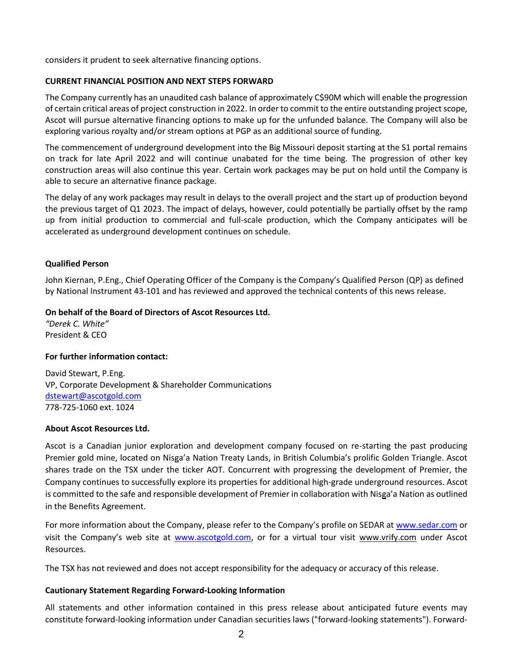considers it prudent to seek alternative financing options.

## **CURRENT FINANCIAL POSITION AND NEXT STEPS FORWARD**

The Company currently has an unaudited cash balance of approximately C\$90M which will enable the progression of certain critical areas of project construction in 2022. In order to commit to the entire outstanding project scope, Ascot will pursue alternative financing options to make up for the unfunded balance. The Company will also be exploring various royalty and/or stream options at PGP as an additional source of funding.

The commencement of underground development into the Big Missouri deposit starting at the S1 portal remains on track for late April 2022 and will continue unabated for the time being. The progression of other key construction areas will also continue this year. Certain work packages may be put on hold until the Company is able to secure an alternative finance package.

The delay of any work packages may result in delays to the overall project and the start up of production beyond the previous target of Q1 2023. The impact of delays, however, could potentially be partially offset by the ramp up from initial production to commercial and full-scale production, which the Company anticipates will be accelerated as underground development continues on schedule.

## **Qualified Person**

John Kiernan, P.Eng., Chief Operating Officer of the Company is the Company's Qualified Person (QP) as defined by National Instrument 43-101 and has reviewed and approved the technical contents of this news release.

## **On behalf of the Board of Directors of Ascot Resources Ltd.**

*"Derek C. White"* President & CEO

#### **For further information contact:**

David Stewart, P.Eng. VP, Corporate Development & Shareholder Communications [dstewart@ascotgold.com](mailto:dstewart@ascotgold.com) 778-725-1060 ext. 1024

#### **About Ascot Resources Ltd.**

Ascot is a Canadian junior exploration and development company focused on re-starting the past producing Premier gold mine, located on Nisga'a Nation Treaty Lands, in British Columbia's prolific Golden Triangle. Ascot shares trade on the TSX under the ticker AOT. Concurrent with progressing the development of Premier, the Company continues to successfully explore its properties for additional high-grade underground resources. Ascot is committed to the safe and responsible development of Premier in collaboration with Nisga'a Nation as outlined in the Benefits Agreement.

For more information about the Company, please refer to the Company's profile on SEDAR at www.sedar.com or visit the Company's web site at www.ascotgold.com, or for a virtual tour visit www.vrify.com under Ascot Resources.

The TSX has not reviewed and does not accept responsibility for the adequacy or accuracy of this release.

#### **Cautionary Statement Regarding Forward-Looking Information**

All statements and other information contained in this press release about anticipated future events may constitute forward-looking information under Canadian securities laws ("forward-looking statements"). Forward